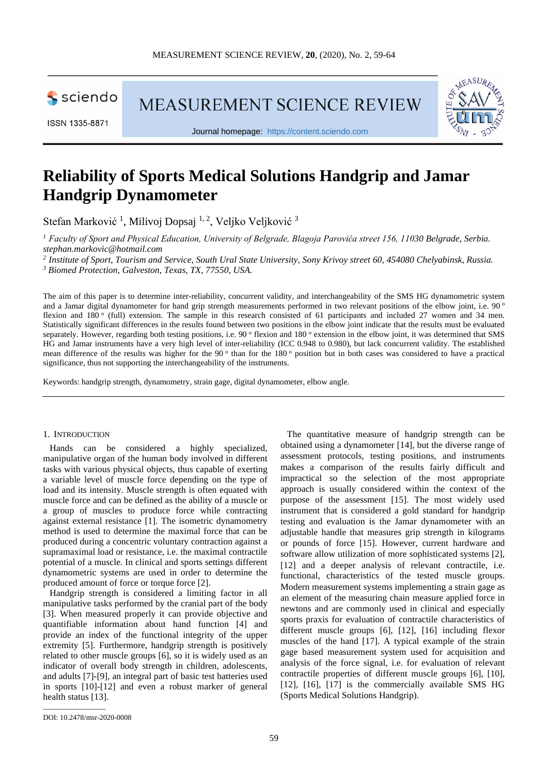

ISSN 1335-8871

MEASUREMENT SCIENCE REVIEW



Journal homepage: [https://content.sciendo.com](https://content.sciendo.com/view/journals/msr/msr-overview.xml)

# **Reliability of Sports Medical Solutions Handgrip and Jamar Handgrip Dynamometer**

Stefan Marković<sup>1</sup>, Milivoj Dopsaj <sup>1, 2</sup>, Veljko Veljković<sup>3</sup>

*<sup>1</sup> Faculty of Sport and Physical Education, University of Belgrade, Blagoja Parovića street 156, 11030 Belgrade, Serbia. stephan.markovic@hotmail.com*

*<sup>2</sup> Institute of Sport, Tourism and Service, South Ural State University, Sony Krivoy street 60, 454080 Chelyabinsk, Russia. <sup>3</sup> Biomed Protection, Galveston, Texas, TX, 77550, USA.*

The aim of this paper is to determine inter-reliability, concurrent validity, and interchangeability of the SMS HG dynamometric system and a Jamar digital dynamometer for hand grip strength measurements performed in two relevant positions of the elbow joint, i.e. 90 ° flexion and  $180^\circ$  (full) extension. The sample in this research consisted of 61 participants and included 27 women and 34 men. Statistically significant differences in the results found between two positions in the elbow joint indicate that the results must be evaluated separately. However, regarding both testing positions, i.e. 90 $\degree$  flexion and 180 $\degree$  extension in the elbow joint, it was determined that SMS HG and Jamar instruments have a very high level of inter-reliability (ICC 0.948 to 0.980), but lack concurrent validity. The established mean difference of the results was higher for the 90 $\degree$  than for the 180 $\degree$  position but in both cases was considered to have a practical significance, thus not supporting the interchangeability of the instruments.

Keywords: handgrip strength, dynamometry, strain gage, digital dynamometer, elbow angle.

### 1. INTRODUCTION

Hands can be considered a highly specialized, manipulative organ of the human body involved in different tasks with various physical objects, thus capable of exerting a variable level of muscle force depending on the type of load and its intensity. Muscle strength is often equated with muscle force and can be defined as the ability of a muscle or a group of muscles to produce force while contracting against external resistance [1]. The isometric dynamometry method is used to determine the maximal force that can be produced during a concentric voluntary contraction against a supramaximal load or resistance, i.e. the maximal contractile potential of a muscle. In clinical and sports settings different dynamometric systems are used in order to determine the produced amount of force or torque force [2].

Handgrip strength is considered a limiting factor in all manipulative tasks performed by the cranial part of the body [3]. When measured properly it can provide objective and quantifiable information about hand function [4] and provide an index of the functional integrity of the upper extremity [5]. Furthermore, handgrip strength is positively related to other muscle groups [6], so it is widely used as an indicator of overall body strength in children, adolescents, and adults [7]-[9], an integral part of basic test batteries used in sports [10]-[12] and even a robust marker of general health status [13].

The quantitative measure of handgrip strength can be obtained using a dynamometer [14], but the diverse range of assessment protocols, testing positions, and instruments makes a comparison of the results fairly difficult and impractical so the selection of the most appropriate approach is usually considered within the context of the purpose of the assessment [15]. The most widely used instrument that is considered a gold standard for handgrip testing and evaluation is the Jamar dynamometer with an adjustable handle that measures grip strength in kilograms or pounds of force [15]. However, current hardware and software allow utilization of more sophisticated systems [2], [12] and a deeper analysis of relevant contractile, i.e. functional, characteristics of the tested muscle groups. Modern measurement systems implementing a strain gage as an element of the measuring chain measure applied force in newtons and are commonly used in clinical and especially sports praxis for evaluation of contractile characteristics of different muscle groups [6], [12], [16] including flexor muscles of the hand [17]. A typical example of the strain gage based measurement system used for acquisition and analysis of the force signal, i.e. for evaluation of relevant contractile properties of different muscle groups [6], [10], [12], [16], [17] is the commercially available SMS HG (Sports Medical Solutions Handgrip).

\_\_\_\_\_\_\_\_\_\_\_\_\_\_\_\_\_

DOI: 10.2478/msr-2020-0008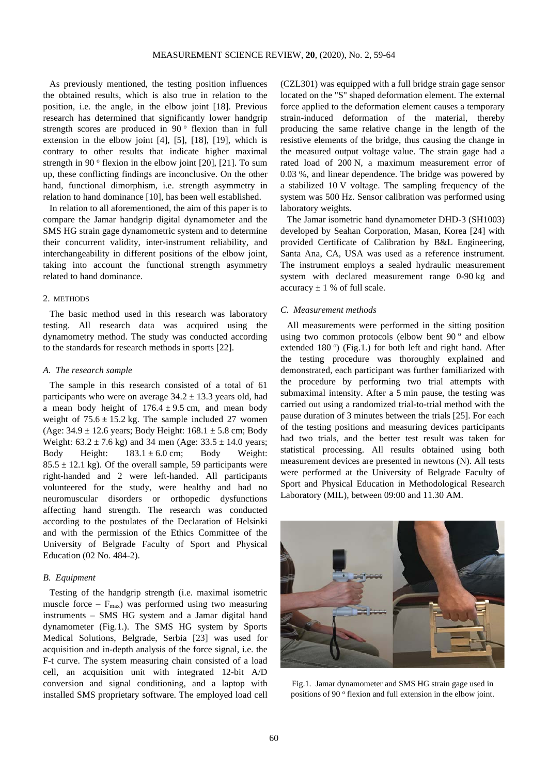As previously mentioned, the testing position influences the obtained results, which is also true in relation to the position, i.e. the angle, in the elbow joint [18]. Previous research has determined that significantly lower handgrip strength scores are produced in  $90^\circ$  flexion than in full extension in the elbow joint [4], [5], [18], [19], which is contrary to other results that indicate higher maximal strength in 90 $^{\circ}$  flexion in the elbow joint [20], [21]. To sum up, these conflicting findings are inconclusive. On the other hand, functional dimorphism, i.e. strength asymmetry in relation to hand dominance [10], has been well established.

In relation to all aforementioned, the aim of this paper is to compare the Jamar handgrip digital dynamometer and the SMS HG strain gage dynamometric system and to determine their concurrent validity, inter-instrument reliability, and interchangeability in different positions of the elbow joint, taking into account the functional strength asymmetry related to hand dominance.

## 2. METHODS

The basic method used in this research was laboratory testing. All research data was acquired using the dynamometry method. The study was conducted according to the standards for research methods in sports [22].

#### *A. The research sample*

The sample in this research consisted of a total of 61 participants who were on average  $34.2 \pm 13.3$  years old, had a mean body height of  $176.4 \pm 9.5$  cm, and mean body weight of  $75.6 \pm 15.2$  kg. The sample included 27 women (Age:  $34.9 \pm 12.6$  years; Body Height:  $168.1 \pm 5.8$  cm; Body Weight:  $63.2 \pm 7.6$  kg) and 34 men (Age:  $33.5 \pm 14.0$  years; Body Height:  $183.1 \pm 6.0$  cm; Body Weight:  $85.5 \pm 12.1$  kg). Of the overall sample, 59 participants were right-handed and 2 were left-handed. All participants volunteered for the study, were healthy and had no neuromuscular disorders or orthopedic dysfunctions affecting hand strength. The research was conducted according to the postulates of the Declaration of Helsinki and with the permission of the Ethics Committee of the University of Belgrade Faculty of Sport and Physical Education (02 No. 484-2).

## *B. Equipment*

Testing of the handgrip strength (i.e. maximal isometric muscle force –  $F_{\text{max}}$ ) was performed using two measuring instruments – SMS HG system and a Jamar digital hand dynamometer (Fig.1.). The SMS HG system by Sports Medical Solutions, Belgrade, Serbia [23] was used for acquisition and in-depth analysis of the force signal, i.e. the F-t curve. The system measuring chain consisted of a load cell, an acquisition unit with integrated 12-bit A/D conversion and signal conditioning, and a laptop with installed SMS proprietary software. The employed load cell

(CZL301) was equipped with a full bridge strain gage sensor located on the "S" shaped deformation element. The external force applied to the deformation element causes a temporary strain-induced deformation of the material, thereby producing the same relative change in the length of the resistive elements of the bridge, thus causing the change in the measured output voltage value. The strain gage had a rated load of 200 N, a maximum measurement error of 0.03 %, and linear dependence. The bridge was powered by a stabilized 10 V voltage. The sampling frequency of the system was 500 Hz. Sensor calibration was performed using laboratory weights.

The Jamar isometric hand dynamometer DHD-3 (SH1003) developed by Seahan Corporation, Masan, Korea [24] with provided Certificate of Calibration by B&L Engineering, Santa Ana, CA, USA was used as a reference instrument. The instrument employs a sealed hydraulic measurement system with declared measurement range 0-90 kg and accuracy  $\pm$  1 % of full scale.

## *C. Measurement methods*

All measurements were performed in the sitting position using two common protocols (elbow bent  $90^\circ$  and elbow extended 180<sup>°</sup>) (Fig.1.) for both left and right hand. After the testing procedure was thoroughly explained and demonstrated, each participant was further familiarized with the procedure by performing two trial attempts with submaximal intensity. After a 5 min pause, the testing was carried out using a randomized trial-to-trial method with the pause duration of 3 minutes between the trials [25]. For each of the testing positions and measuring devices participants had two trials, and the better test result was taken for statistical processing. All results obtained using both measurement devices are presented in newtons (N). All tests were performed at the University of Belgrade Faculty of Sport and Physical Education in Methodological Research Laboratory (MIL), between 09:00 and 11.30 AM.



Fig.1. Jamar dynamometer and SMS HG strain gage used in positions of 90 <sup>o</sup> flexion and full extension in the elbow joint.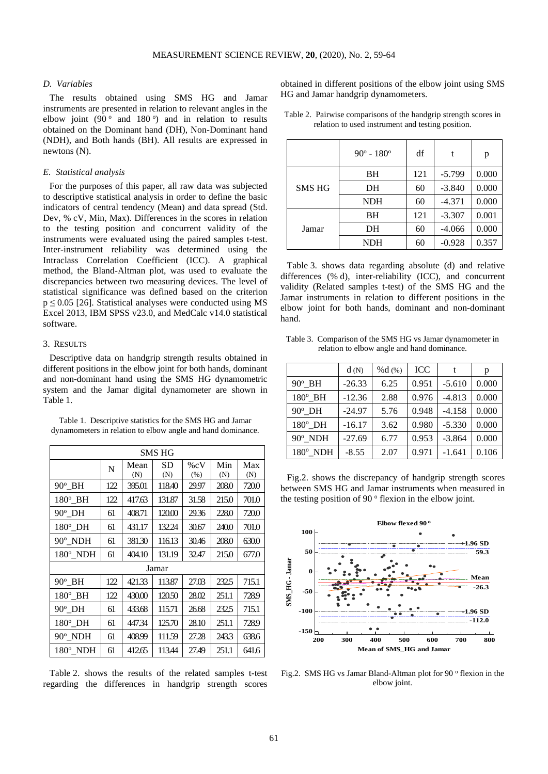## *D. Variables*

The results obtained using SMS HG and Jamar instruments are presented in relation to relevant angles in the elbow joint (90 $^{\circ}$  and 180 $^{\circ}$ ) and in relation to results obtained on the Dominant hand (DH), Non-Dominant hand (NDH), and Both hands (BH). All results are expressed in newtons (N).

#### *E. Statistical analysis*

For the purposes of this paper, all raw data was subjected to descriptive statistical analysis in order to define the basic indicators of central tendency (Mean) and data spread (Std. Dev, % cV, Min, Max). Differences in the scores in relation to the testing position and concurrent validity of the instruments were evaluated using the paired samples t-test. Inter-instrument reliability was determined using the Intraclass Correlation Coefficient (ICC). A graphical method, the Bland-Altman plot, was used to evaluate the discrepancies between two measuring devices. The level of statistical significance was defined based on the criterion  $p \le 0.05$  [26]. Statistical analyses were conducted using MS Excel 2013, IBM SPSS v23.0, and MedCalc v14.0 statistical software.

## 3. RESULTS

Descriptive data on handgrip strength results obtained in different positions in the elbow joint for both hands, dominant and non-dominant hand using the SMS HG dynamometric system and the Jamar digital dynamometer are shown in Table 1.

Table 1. Descriptive statistics for the SMS HG and Jamar dynamometers in relation to elbow angle and hand dominance.

| SMS HG           |     |             |                  |                |            |            |
|------------------|-----|-------------|------------------|----------------|------------|------------|
|                  | N   | Mean<br>(N) | <b>SD</b><br>(N) | $\%cV$<br>(% ) | Min<br>(N) | Max<br>(N) |
| $90^\circ$ BH    | 122 | 395.01      | 118.40           | 29.97          | 208.0      | 720.0      |
| $180^\circ$ BH   | 122 | 417.63      | 131.87           | 31.58          | 215.0      | 701.0      |
| $90^\circ$ _DH   | 61  | 408.71      | 120.00           | 29.36          | 228.0      | 720.0      |
| $180^\circ$ _DH  | 61  | 431.17      | 132.24           | 30.67          | 240.0      | 701.0      |
| $90^\circ$ NDH   | 61  | 381.30      | 116.13           | 30.46          | 208.0      | 630.0      |
| $180^\circ$ _NDH | 61  | 404.10      | 131.19           | 32.47          | 215.0      | 677.0      |
| Jamar            |     |             |                  |                |            |            |
| $90^\circ$ BH    | 122 | 421.33      | 113.87           | 27.03          | 232.5      | 715.1      |
| $180^\circ$ BH   | 122 | 430.00      | 120.50           | 28.02          | 251.1      | 728.9      |
| $90^{\circ}$ DH  | 61  | 433.68      | 115.71           | 26.68          | 232.5      | 715.1      |
| $180^\circ$ DH   | 61  | 447.34      | 125.70           | 28.10          | 251.1      | 728.9      |
| 90° NDH          | 61  | 408.99      | 111.59           | 27.28          | 243.3      | 638.6      |
| $180^\circ$ NDH  | 61  | 412.65      | 113.44           | 27.49          | 251.1      | 641.6      |

Table 2. shows the results of the related samples t-test regarding the differences in handgrip strength scores

obtained in different positions of the elbow joint using SMS HG and Jamar handgrip dynamometers.

|  | Table 2. Pairwise comparisons of the handgrip strength scores in |  |  |
|--|------------------------------------------------------------------|--|--|
|  | relation to used instrument and testing position.                |  |  |

|               | $90^{\circ} - 180^{\circ}$ | df  | t        | p     |
|---------------|----------------------------|-----|----------|-------|
|               | BH                         | 121 | $-5.799$ | 0.000 |
| <b>SMS HG</b> | DH                         | 60  | $-3.840$ | 0.000 |
|               | <b>NDH</b>                 | 60  | $-4.371$ | 0.000 |
| Jamar         | BH                         | 121 | $-3.307$ | 0.001 |
|               | DH                         | 60  | $-4.066$ | 0.000 |
|               | <b>NDH</b>                 | 60  | $-0.928$ | 0.357 |

Table 3. shows data regarding absolute (d) and relative differences (% d), inter-reliability (ICC), and concurrent validity (Related samples t-test) of the SMS HG and the Jamar instruments in relation to different positions in the elbow joint for both hands, dominant and non-dominant hand.

| Table 3. Comparison of the SMS HG vs Jamar dynamometer in |
|-----------------------------------------------------------|
| relation to elbow angle and hand dominance.               |

|                 | d(N)     | % $d$ (%) | ICC   | t        | р     |
|-----------------|----------|-----------|-------|----------|-------|
| $90^\circ$ BH   | $-26.33$ | 6.25      | 0.951 | $-5.610$ | 0.000 |
| $180^\circ$ BH  | $-12.36$ | 2.88      | 0.976 | $-4.813$ | 0.000 |
| 90° DH          | $-24.97$ | 5.76      | 0.948 | $-4.158$ | 0.000 |
| $180^\circ$ DH  | $-16.17$ | 3.62      | 0.980 | $-5.330$ | 0.000 |
| $90^\circ$ NDH  | $-27.69$ | 6.77      | 0.953 | $-3.864$ | 0.000 |
| $180^\circ$ NDH | $-8.55$  | 2.07      | 0.971 | $-1.641$ | 0.106 |

Fig.2. shows the discrepancy of handgrip strength scores between SMS HG and Jamar instruments when measured in the testing position of 90 $\degree$  flexion in the elbow joint.



Fig.2. SMS HG vs Jamar Bland-Altman plot for 90 $\degree$  flexion in the elbow joint.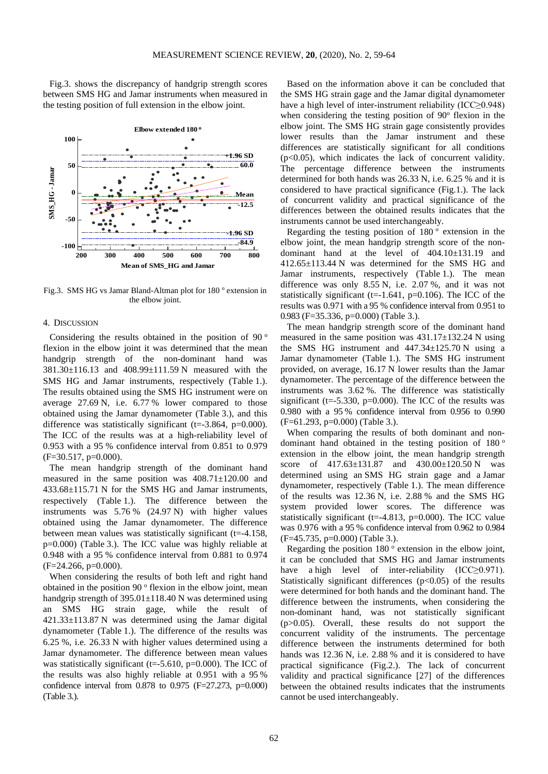Fig.3. shows the discrepancy of handgrip strength scores between SMS HG and Jamar instruments when measured in the testing position of full extension in the elbow joint.



Fig.3. SMS HG vs Jamar Bland-Altman plot for 180 ° extension in the elbow joint.

## 4. DISCUSSION

Considering the results obtained in the position of  $90^\circ$ flexion in the elbow joint it was determined that the mean handgrip strength of the non-dominant hand was 381.30±116.13 and 408.99±111.59 N measured with the SMS HG and Jamar instruments, respectively (Table 1.). The results obtained using the SMS HG instrument were on average 27.69 N, i.e. 6.77 % lower compared to those obtained using the Jamar dynamometer (Table 3.), and this difference was statistically significant (t= $-3.864$ , p=0.000). The ICC of the results was at a high-reliability level of 0.953 with a 95 % confidence interval from 0.851 to 0.979  $(F=30.517, p=0.000)$ .

The mean handgrip strength of the dominant hand measured in the same position was 408.71±120.00 and 433.68±115.71 N for the SMS HG and Jamar instruments, respectively (Table 1.). The difference between the instruments was 5.76 % (24.97 N) with higher values obtained using the Jamar dynamometer. The difference between mean values was statistically significant (t=-4.158, p=0.000) (Table 3.). The ICC value was highly reliable at 0.948 with a 95 % confidence interval from 0.881 to 0.974 (F=24.266, p=0.000).

When considering the results of both left and right hand obtained in the position 90 $\degree$  flexion in the elbow joint, mean handgrip strength of 395.01±118.40 N was determined using an SMS HG strain gage, while the result of 421.33±113.87 N was determined using the Jamar digital dynamometer (Table 1.). The difference of the results was 6.25 %, i.e. 26.33 N with higher values determined using a Jamar dynamometer. The difference between mean values was statistically significant ( $t=$ -5.610,  $p=0.000$ ). The ICC of the results was also highly reliable at 0.951 with a 95 % confidence interval from  $0.878$  to  $0.975$  (F=27.273, p=0.000) (Table 3.).

Based on the information above it can be concluded that the SMS HG strain gage and the Jamar digital dynamometer have a high level of inter-instrument reliability (ICC≥0.948) when considering the testing position of  $90^\circ$  flexion in the elbow joint. The SMS HG strain gage consistently provides lower results than the Jamar instrument and these differences are statistically significant for all conditions  $(p<0.05)$ , which indicates the lack of concurrent validity. The percentage difference between the instruments determined for both hands was 26.33 N, i.e. 6.25 % and it is considered to have practical significance (Fig.1.). The lack of concurrent validity and practical significance of the differences between the obtained results indicates that the instruments cannot be used interchangeably.

Regarding the testing position of  $180^\circ$  extension in the elbow joint, the mean handgrip strength score of the nondominant hand at the level of 404.10±131.19 and 412.65±113.44 N was determined for the SMS HG and Jamar instruments, respectively (Table 1.). The mean difference was only 8.55 N, i.e. 2.07 %, and it was not statistically significant (t=-1.641, p=0.106). The ICC of the results was 0.971 with a 95 % confidence interval from 0.951 to 0.983 (F=35.336, p=0.000) (Table 3.).

The mean handgrip strength score of the dominant hand measured in the same position was  $431.17 \pm 132.24$  N using the SMS HG instrument and  $447.34 \pm 125.70$  N using a Jamar dynamometer (Table 1.). The SMS HG instrument provided, on average, 16.17 N lower results than the Jamar dynamometer. The percentage of the difference between the instruments was 3.62 %. The difference was statistically significant ( $t = -5.330$ ,  $p = 0.000$ ). The ICC of the results was 0.980 with a 95 % confidence interval from 0.956 to 0.990 (F=61.293, p=0.000) (Table 3.).

When comparing the results of both dominant and nondominant hand obtained in the testing position of  $180^\circ$ extension in the elbow joint, the mean handgrip strength score of 417.63±131.87 and 430.00±120.50 N was determined using an SMS HG strain gage and a Jamar dynamometer, respectively (Table 1.). The mean difference of the results was 12.36 N, i.e. 2.88 % and the SMS HG system provided lower scores. The difference was statistically significant (t=-4.813, p=0.000). The ICC value was 0.976 with a 95 % confidence interval from 0.962 to 0.984 (F=45.735, p=0.000) (Table 3.).

Regarding the position  $180^\circ$  extension in the elbow joint, it can be concluded that SMS HG and Jamar instruments have a high level of inter-reliability (ICC>0.971). Statistically significant differences  $(p<0.05)$  of the results were determined for both hands and the dominant hand. The difference between the instruments, when considering the non-dominant hand, was not statistically significant (p>0.05). Overall, these results do not support the concurrent validity of the instruments. The percentage difference between the instruments determined for both hands was 12.36 N, i.e. 2.88 % and it is considered to have practical significance (Fig.2.). The lack of concurrent validity and practical significance [27] of the differences between the obtained results indicates that the instruments cannot be used interchangeably.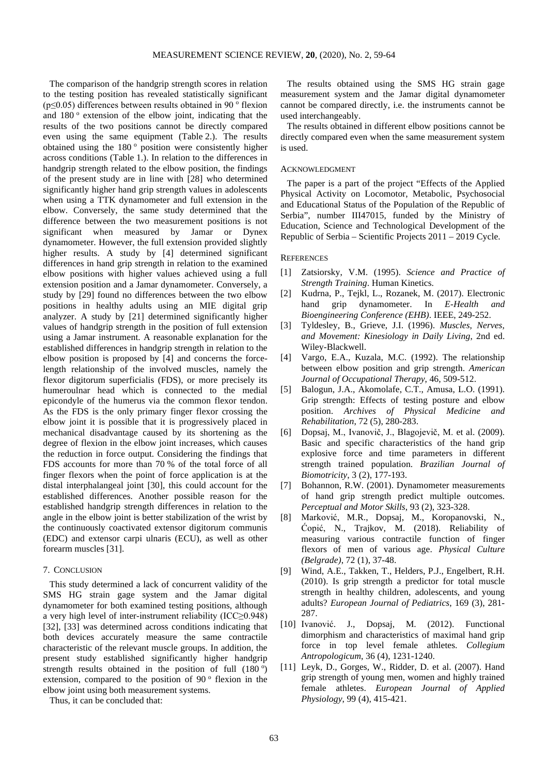The comparison of the handgrip strength scores in relation to the testing position has revealed statistically significant ( $p \le 0.05$ ) differences between results obtained in 90  $\degree$  flexion and  $180^\circ$  extension of the elbow joint, indicating that the results of the two positions cannot be directly compared even using the same equipment (Table 2.). The results obtained using the  $180^\circ$  position were consistently higher across conditions (Table 1.). In relation to the differences in handgrip strength related to the elbow position, the findings of the present study are in line with [28] who determined significantly higher hand grip strength values in adolescents when using a TTK dynamometer and full extension in the elbow. Conversely, the same study determined that the difference between the two measurement positions is not significant when measured by Jamar or Dynex dynamometer. However, the full extension provided slightly higher results. A study by [4] determined significant differences in hand grip strength in relation to the examined elbow positions with higher values achieved using a full extension position and a Jamar dynamometer. Conversely, a study by [29] found no differences between the two elbow positions in healthy adults using an MIE digital grip analyzer. A study by [21] determined significantly higher values of handgrip strength in the position of full extension using a Jamar instrument. A reasonable explanation for the established differences in handgrip strength in relation to the elbow position is proposed by [4] and concerns the forcelength relationship of the involved muscles, namely the flexor digitorum superficialis (FDS), or more precisely its humeroulnar head which is connected to the medial epicondyle of the humerus via the common flexor tendon. As the FDS is the only primary finger flexor crossing the elbow joint it is possible that it is progressively placed in mechanical disadvantage caused by its shortening as the degree of flexion in the elbow joint increases, which causes the reduction in force output. Considering the findings that FDS accounts for more than 70 % of the total force of all finger flexors when the point of force application is at the distal interphalangeal joint [30], this could account for the established differences. Another possible reason for the established handgrip strength differences in relation to the angle in the elbow joint is better stabilization of the wrist by the continuously coactivated extensor digitorum communis (EDC) and extensor carpi ulnaris (ECU), as well as other forearm muscles [31].

## 7. CONCLUSION

This study determined a lack of concurrent validity of the SMS HG strain gage system and the Jamar digital dynamometer for both examined testing positions, although a very high level of inter-instrument reliability (ICC≥0.948) [32], [33] was determined across conditions indicating that both devices accurately measure the same contractile characteristic of the relevant muscle groups. In addition, the present study established significantly higher handgrip strength results obtained in the position of full  $(180°)$ extension, compared to the position of 90 $\degree$  flexion in the elbow joint using both measurement systems.

Thus, it can be concluded that:

The results obtained using the SMS HG strain gage measurement system and the Jamar digital dynamometer cannot be compared directly, i.e. the instruments cannot be used interchangeably.

The results obtained in different elbow positions cannot be directly compared even when the same measurement system is used.

#### ACKNOWLEDGMENT

The paper is a part of the project "Effects of the Applied Physical Activity on Locomotor, Metabolic, Psychosocial and Educational Status of the Population of the Republic of Serbia", number III47015, funded by the Ministry of Education, Science and Technological Development of the Republic of Serbia – Scientific Projects 2011 – 2019 Cycle.

## **REFERENCES**

- [1] Zatsiorsky, V.M. (1995). *Science and Practice of Strength Training*. Human Kinetics.
- [2] Kudrna, P., Tejkl, L., Rozanek, M. (2017). Electronic hand grip dynamometer. In *E-Health and Bioengineering Conference (EHB)*. IEEE, 249-252.
- [3] Tyldesley, B., Grieve, J.I. (1996). *Muscles, Nerves, and Movement: Kinesiology in Daily Living*, 2nd ed. Wiley-Blackwell.
- [4] Vargo, E.A., Kuzala, M.C. (1992). The relationship between elbow position and grip strength. *American Journal of Occupational Therapy*, 46, 509-512.
- [5] Balogun, J.A., Akomolafe, C.T., Amusa, L.O. (1991). Grip strength: Effects of testing posture and elbow position. *Archives of Physical Medicine and Rehabilitation*, 72 (5), 280-283.
- [6] Dopsaj, M., Ivanovič, J., Blagojevič, M. et al. (2009). Basic and specific characteristics of the hand grip explosive force and time parameters in different strength trained population. *Brazilian Journal of Biomotricity*, 3 (2), 177-193.
- [7] Bohannon, R.W. (2001). Dynamometer measurements of hand grip strength predict multiple outcomes. *Perceptual and Motor Skills*, 93 (2), 323-328.
- [8] Marković, M.R., Dopsaj, M., Koropanovski, N., Ćopić, N., Trajkov, M. (2018). Reliability of measuring various contractile function of finger flexors of men of various age. *Physical Culture (Belgrade)*, 72 (1), 37-48.
- [9] Wind, A.E., Takken, T., Helders, P.J., Engelbert, R.H. (2010). Is grip strength a predictor for total muscle strength in healthy children, adolescents, and young adults? *European Journal of Pediatrics*, 169 (3), 281- 287.
- [10] Ivanović. J., Dopsaj, M. (2012). Functional dimorphism and characteristics of maximal hand grip force in top level female athletes. *Collegium Antropologicum*, 36 (4), 1231-1240.
- [11] Leyk, D., Gorges, W., Ridder, D. et al. (2007). Hand grip strength of young men, women and highly trained female athletes. *European Journal of Applied Physiology*, 99 (4), 415-421.